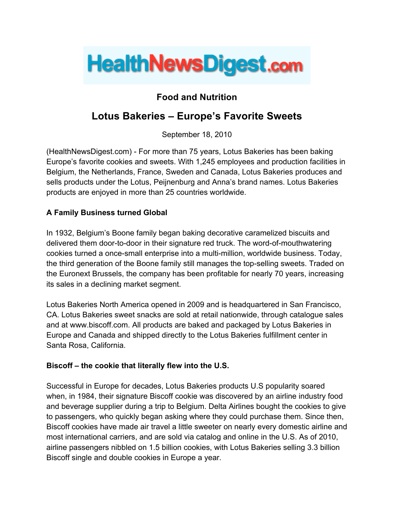

# **Food and Nutrition**

# **Lotus Bakeries – Europe's Favorite Sweets**

September 18, 2010

(HealthNewsDigest.com) - For more than 75 years, Lotus Bakeries has been baking Europe's favorite cookies and sweets. With 1,245 employees and production facilities in Belgium, the Netherlands, France, Sweden and Canada, Lotus Bakeries produces and sells products under the Lotus, Peijnenburg and Anna's brand names. Lotus Bakeries products are enjoyed in more than 25 countries worldwide.

## **A Family Business turned Global**

In 1932, Belgium's Boone family began baking decorative caramelized biscuits and delivered them door-to-door in their signature red truck. The word-of-mouthwatering cookies turned a once-small enterprise into a multi-million, worldwide business. Today, the third generation of the Boone family still manages the top-selling sweets. Traded on the Euronext Brussels, the company has been profitable for nearly 70 years, increasing its sales in a declining market segment.

Lotus Bakeries North America opened in 2009 and is headquartered in San Francisco, CA. Lotus Bakeries sweet snacks are sold at retail nationwide, through catalogue sales and at www.biscoff.com. All products are baked and packaged by Lotus Bakeries in Europe and Canada and shipped directly to the Lotus Bakeries fulfillment center in Santa Rosa, California.

## **Biscoff – the cookie that literally flew into the U.S.**

Successful in Europe for decades, Lotus Bakeries products U.S popularity soared when, in 1984, their signature Biscoff cookie was discovered by an airline industry food and beverage supplier during a trip to Belgium. Delta Airlines bought the cookies to give to passengers, who quickly began asking where they could purchase them. Since then, Biscoff cookies have made air travel a little sweeter on nearly every domestic airline and most international carriers, and are sold via catalog and online in the U.S. As of 2010, airline passengers nibbled on 1.5 billion cookies, with Lotus Bakeries selling 3.3 billion Biscoff single and double cookies in Europe a year.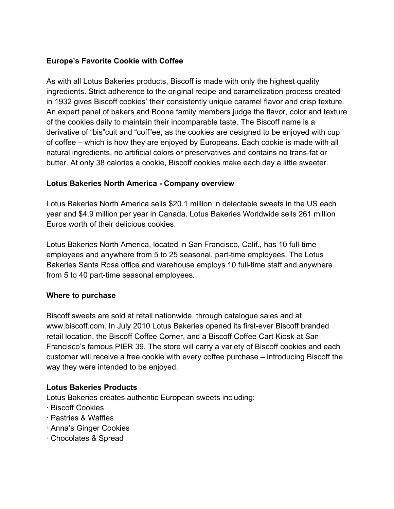# **Europe's Favorite Cookie with Coffee**

As with all Lotus Bakeries products, Biscoff is made with only the highest quality ingredients. Strict adherence to the original recipe and caramelization process created in 1932 gives Biscoff cookies' their consistently unique caramel flavor and crisp texture. An expert panel of bakers and Boone family members judge the flavor, color and texture of the cookies daily to maintain their incomparable taste. The Biscoff name is a derivative of "bis"cuit and "coff"ee, as the cookies are designed to be enjoyed with cup of coffee – which is how they are enjoyed by Europeans. Each cookie is made with all natural ingredients, no artificial colors or preservatives and contains no trans-fat or butter. At only 38 calories a cookie, Biscoff cookies make each day a little sweeter.

# **Lotus Bakeries North America - Company overview**

Lotus Bakeries North America sells \$20.1 million in delectable sweets in the US each year and \$4.9 million per year in Canada. Lotus Bakeries Worldwide sells 261 million Euros worth of their delicious cookies.

Lotus Bakeries North America, located in San Francisco, Calif., has 10 full-time employees and anywhere from 5 to 25 seasonal, part-time employees. The Lotus Bakeries Santa Rosa office and warehouse employs 10 full-time staff and anywhere from 5 to 40 part-time seasonal employees.

## **Where to purchase**

Biscoff sweets are sold at retail nationwide, through catalogue sales and at www.biscoff.com. In July 2010 Lotus Bakeries opened its first-ever Biscoff branded retail location, the Biscoff Coffee Corner, and a Biscoff Coffee Cart Kiosk at San Francisco's famous PIER 39. The store will carry a variety of Biscoff cookies and each customer will receive a free cookie with every coffee purchase – introducing Biscoff the way they were intended to be enjoyed.

## **Lotus Bakeries Products**

Lotus Bakeries creates authentic European sweets including:

- · Biscoff Cookies
- · Pastries & Waffles
- · Anna's Ginger Cookies
- · Chocolates & Spread